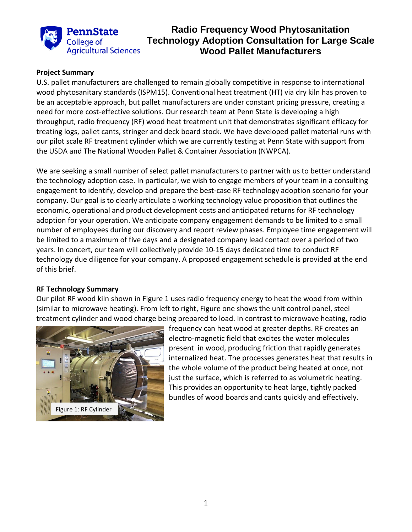

## **Radio Frequency Wood Phytosanitation Technology Adoption Consultation for Large Scale Wood Pallet Manufacturers**

### **Project Summary**

U.S. pallet manufacturers are challenged to remain globally competitive in response to international wood phytosanitary standards (ISPM15). Conventional heat treatment (HT) via dry kiln has proven to be an acceptable approach, but pallet manufacturers are under constant pricing pressure, creating a need for more cost-effective solutions. Our research team at Penn State is developing a high throughput, radio frequency (RF) wood heat treatment unit that demonstrates significant efficacy for treating logs, pallet cants, stringer and deck board stock. We have developed pallet material runs with our pilot scale RF treatment cylinder which we are currently testing at Penn State with support from the USDA and The National Wooden Pallet & Container Association (NWPCA).

We are seeking a small number of select pallet manufacturers to partner with us to better understand the technology adoption case. In particular, we wish to engage members of your team in a consulting engagement to identify, develop and prepare the best-case RF technology adoption scenario for your company. Our goal is to clearly articulate a working technology value proposition that outlines the economic, operational and product development costs and anticipated returns for RF technology adoption for your operation. We anticipate company engagement demands to be limited to a small number of employees during our discovery and report review phases. Employee time engagement will be limited to a maximum of five days and a designated company lead contact over a period of two years. In concert, our team will collectively provide 10-15 days dedicated time to conduct RF technology due diligence for your company. A proposed engagement schedule is provided at the end of this brief.

#### **RF Technology Summary**

Our pilot RF wood kiln shown in Figure 1 uses radio frequency energy to heat the wood from within (similar to microwave heating). From left to right, Figure one shows the unit control panel, steel treatment cylinder and wood charge being prepared to load. In contrast to microwave heating, radio



frequency can heat wood at greater depths. RF creates an electro-magnetic field that excites the water molecules present in wood, producing friction that rapidly generates internalized heat. The processes generates heat that results in the whole volume of the product being heated at once, not just the surface, which is referred to as volumetric heating. This provides an opportunity to heat large, tightly packed bundles of wood boards and cants quickly and effectively.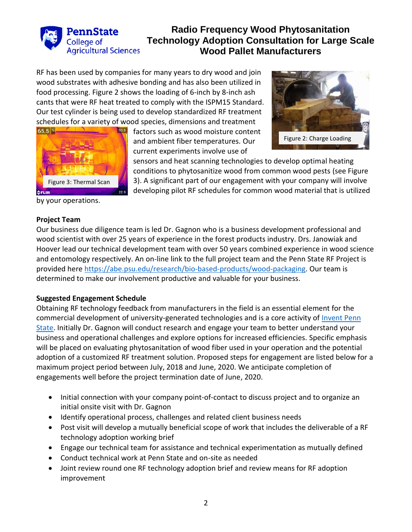

# **Radio Frequency Wood Phytosanitation Technology Adoption Consultation for Large Scale Wood Pallet Manufacturers**

RF has been used by companies for many years to dry wood and join wood substrates with adhesive bonding and has also been utilized in food processing. Figure 2 shows the loading of 6-inch by 8-inch ash cants that were RF heat treated to comply with the ISPM15 Standard. Our test cylinder is being used to develop standardized RF treatment schedules for a variety of wood species, dimensions and treatment



factors such as wood moisture content and ambient fiber temperatures. Our current experiments involve use of



sensors and heat scanning technologies to develop optimal heating conditions to phytosanitize wood from common wood pests (see Figure 3). A significant part of our engagement with your company will involve developing pilot RF schedules for common wood material that is utilized

by your operations.

## **Project Team**

Our business due diligence team is led Dr. Gagnon who is a business development professional and wood scientist with over 25 years of experience in the forest products industry. Drs. Janowiak and Hoover lead our technical development team with over 50 years combined experience in wood science and entomology respectively. An on-line link to the full project team and the Penn State RF Project is provided here [https://abe.psu.edu/research/bio-based-products/wood-packaging.](https://abe.psu.edu/research/bio-based-products/wood-packaging) Our team is determined to make our involvement productive and valuable for your business.

## **Suggested Engagement Schedule**

Obtaining RF technology feedback from manufacturers in the field is an essential element for the commercial development of university-generated technologies and is a core activity of [Invent Penn](http://invent.psu.edu/)  [State.](http://invent.psu.edu/) Initially Dr. Gagnon will conduct research and engage your team to better understand your business and operational challenges and explore options for increased efficiencies. Specific emphasis will be placed on evaluating phytosanitation of wood fiber used in your operation and the potential adoption of a customized RF treatment solution. Proposed steps for engagement are listed below for a maximum project period between July, 2018 and June, 2020. We anticipate completion of engagements well before the project termination date of June, 2020.

- Initial connection with your company point-of-contact to discuss project and to organize an initial onsite visit with Dr. Gagnon
- Identify operational process, challenges and related client business needs
- Post visit will develop a mutually beneficial scope of work that includes the deliverable of a RF technology adoption working brief
- Engage our technical team for assistance and technical experimentation as mutually defined
- Conduct technical work at Penn State and on-site as needed
- Joint review round one RF technology adoption brief and review means for RF adoption improvement